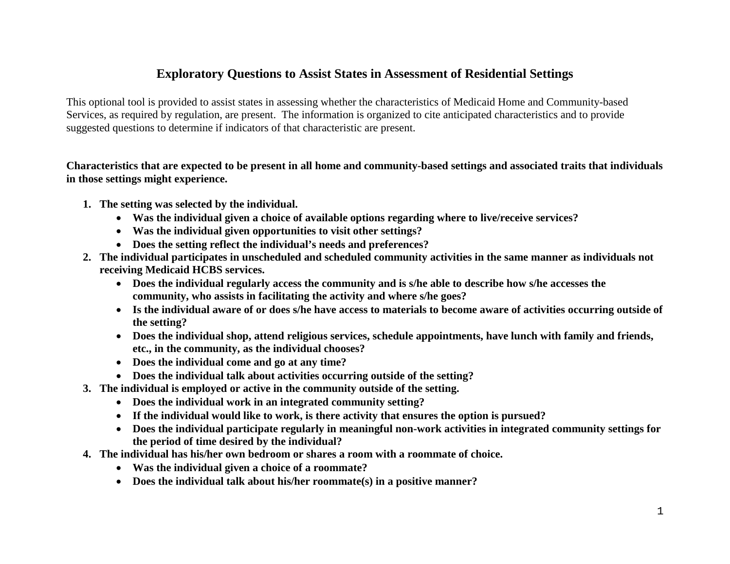## **Exploratory Questions to Assist States in Assessment of Residential Settings**

This optional tool is provided to assist states in assessing whether the characteristics of Medicaid Home and Community-based Services, as required by regulation, are present. The information is organized to cite anticipated characteristics and to provide suggested questions to determine if indicators of that characteristic are present.

**Characteristics that are expected to be present in all home and community-based settings and associated traits that individuals in those settings might experience.**

- **1. The setting was selected by the individual.**
	- **Was the individual given a choice of available options regarding where to live/receive services?**
	- **Was the individual given opportunities to visit other settings?**
	- **Does the setting reflect the individual's needs and preferences?**
- **2. The individual participates in unscheduled and scheduled community activities in the same manner as individuals not receiving Medicaid HCBS services.**
	- **Does the individual regularly access the community and is s/he able to describe how s/he accesses the community, who assists in facilitating the activity and where s/he goes?**
	- **Is the individual aware of or does s/he have access to materials to become aware of activities occurring outside of the setting?**
	- **Does the individual shop, attend religious services, schedule appointments, have lunch with family and friends, etc., in the community, as the individual chooses?**
	- **Does the individual come and go at any time?**
	- **Does the individual talk about activities occurring outside of the setting?**
- **3. The individual is employed or active in the community outside of the setting.**
	- **Does the individual work in an integrated community setting?**
	- **If the individual would like to work, is there activity that ensures the option is pursued?**
	- **Does the individual participate regularly in meaningful non-work activities in integrated community settings for the period of time desired by the individual?**
- **4. The individual has his/her own bedroom or shares a room with a roommate of choice.** 
	- **Was the individual given a choice of a roommate?**
	- **Does the individual talk about his/her roommate(s) in a positive manner?**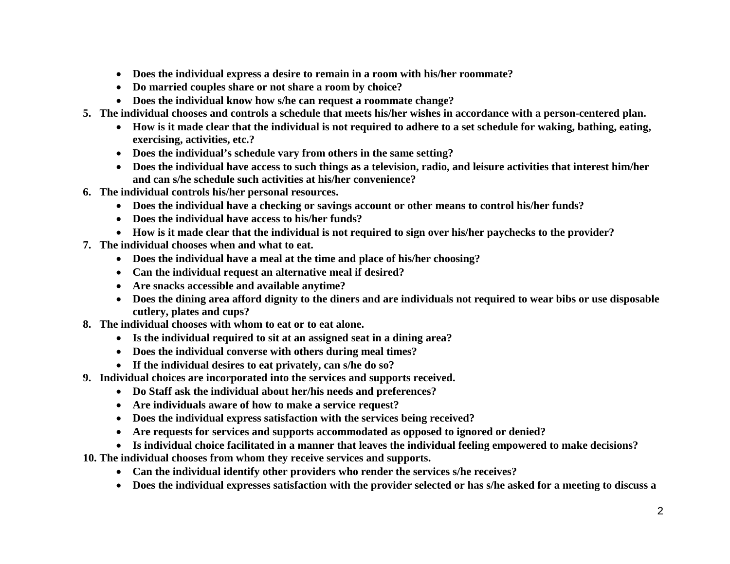- **Does the individual express a desire to remain in a room with his/her roommate?**
- **Do married couples share or not share a room by choice?**
- **Does the individual know how s/he can request a roommate change?**
- **5. The individual chooses and controls a schedule that meets his/her wishes in accordance with a person-centered plan.**
	- **How is it made clear that the individual is not required to adhere to a set schedule for waking, bathing, eating, exercising, activities, etc.?**
	- **Does the individual's schedule vary from others in the same setting?**
	- **Does the individual have access to such things as a television, radio, and leisure activities that interest him/her and can s/he schedule such activities at his/her convenience?**
- **6. The individual controls his/her personal resources.**
	- **Does the individual have a checking or savings account or other means to control his/her funds?**
	- **Does the individual have access to his/her funds?**
	- **How is it made clear that the individual is not required to sign over his/her paychecks to the provider?**
- **7. The individual chooses when and what to eat.**
	- **Does the individual have a meal at the time and place of his/her choosing?**
	- **Can the individual request an alternative meal if desired?**
	- **Are snacks accessible and available anytime?**
	- **Does the dining area afford dignity to the diners and are individuals not required to wear bibs or use disposable cutlery, plates and cups?**
- **8. The individual chooses with whom to eat or to eat alone.**
	- **Is the individual required to sit at an assigned seat in a dining area?**
	- **Does the individual converse with others during meal times?**
	- **If the individual desires to eat privately, can s/he do so?**
- **9. Individual choices are incorporated into the services and supports received.**
	- **Do Staff ask the individual about her/his needs and preferences?**
	- **Are individuals aware of how to make a service request?**
	- **Does the individual express satisfaction with the services being received?**
	- **Are requests for services and supports accommodated as opposed to ignored or denied?**
	- **Is individual choice facilitated in a manner that leaves the individual feeling empowered to make decisions?**
- **10. The individual chooses from whom they receive services and supports.**
	- **Can the individual identify other providers who render the services s/he receives?**
	- **Does the individual expresses satisfaction with the provider selected or has s/he asked for a meeting to discuss a**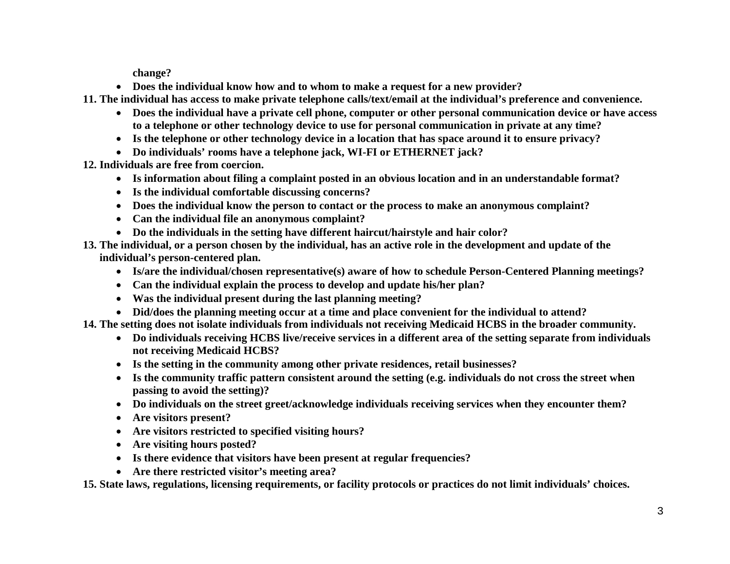**change?**

• **Does the individual know how and to whom to make a request for a new provider?**

**11. The individual has access to make private telephone calls/text/email at the individual's preference and convenience.**

- **Does the individual have a private cell phone, computer or other personal communication device or have access to a telephone or other technology device to use for personal communication in private at any time?**
- **Is the telephone or other technology device in a location that has space around it to ensure privacy?**
- **Do individuals' rooms have a telephone jack, WI-FI or ETHERNET jack?**

**12. Individuals are free from coercion.**

- **Is information about filing a complaint posted in an obvious location and in an understandable format?**
- **Is the individual comfortable discussing concerns?**
- **Does the individual know the person to contact or the process to make an anonymous complaint?**
- **Can the individual file an anonymous complaint?**
- **Do the individuals in the setting have different haircut/hairstyle and hair color?**
- **13. The individual, or a person chosen by the individual, has an active role in the development and update of the individual's person-centered plan.**
	- **Is/are the individual/chosen representative(s) aware of how to schedule Person-Centered Planning meetings?**
	- **Can the individual explain the process to develop and update his/her plan?**
	- **Was the individual present during the last planning meeting?**
	- **Did/does the planning meeting occur at a time and place convenient for the individual to attend?**
- **14. The setting does not isolate individuals from individuals not receiving Medicaid HCBS in the broader community.**
	- **Do individuals receiving HCBS live/receive services in a different area of the setting separate from individuals not receiving Medicaid HCBS?**
	- **Is the setting in the community among other private residences, retail businesses?**
	- **Is the community traffic pattern consistent around the setting (e.g. individuals do not cross the street when passing to avoid the setting)?**
	- **Do individuals on the street greet/acknowledge individuals receiving services when they encounter them?**
	- **Are visitors present?**
	- **Are visitors restricted to specified visiting hours?**
	- **Are visiting hours posted?**
	- **Is there evidence that visitors have been present at regular frequencies?**
	- **Are there restricted visitor's meeting area?**

**15. State laws, regulations, licensing requirements, or facility protocols or practices do not limit individuals' choices.**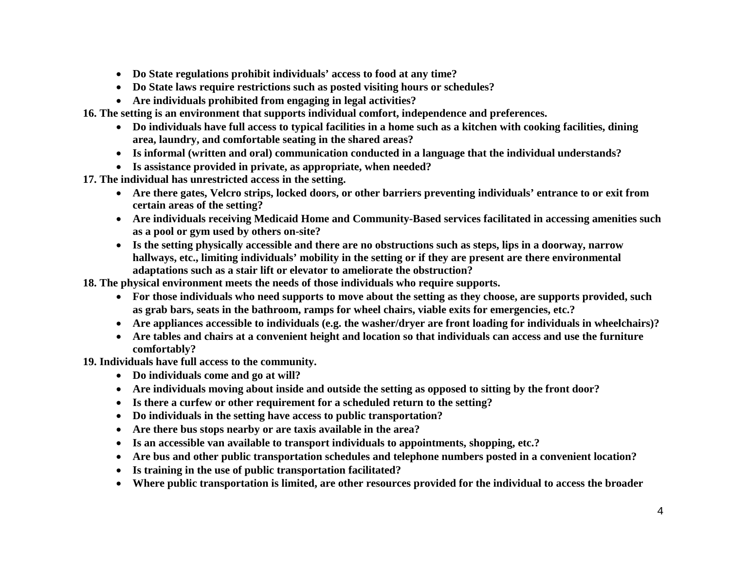- **Do State regulations prohibit individuals' access to food at any time?**
- **Do State laws require restrictions such as posted visiting hours or schedules?**
- **Are individuals prohibited from engaging in legal activities?**

**16. The setting is an environment that supports individual comfort, independence and preferences.**

- **Do individuals have full access to typical facilities in a home such as a kitchen with cooking facilities, dining area, laundry, and comfortable seating in the shared areas?**
- **Is informal (written and oral) communication conducted in a language that the individual understands?**
- **Is assistance provided in private, as appropriate, when needed?**

**17. The individual has unrestricted access in the setting.** 

- **Are there gates, Velcro strips, locked doors, or other barriers preventing individuals' entrance to or exit from certain areas of the setting?**
- **Are individuals receiving Medicaid Home and Community-Based services facilitated in accessing amenities such as a pool or gym used by others on-site?**
- **Is the setting physically accessible and there are no obstructions such as steps, lips in a doorway, narrow hallways, etc., limiting individuals' mobility in the setting or if they are present are there environmental adaptations such as a stair lift or elevator to ameliorate the obstruction?**

**18. The physical environment meets the needs of those individuals who require supports.**

- **For those individuals who need supports to move about the setting as they choose, are supports provided, such as grab bars, seats in the bathroom, ramps for wheel chairs, viable exits for emergencies, etc.?**
- **Are appliances accessible to individuals (e.g. the washer/dryer are front loading for individuals in wheelchairs)?**
- **Are tables and chairs at a convenient height and location so that individuals can access and use the furniture comfortably?**

**19. Individuals have full access to the community.**

- **Do individuals come and go at will?**
- **Are individuals moving about inside and outside the setting as opposed to sitting by the front door?**
- **Is there a curfew or other requirement for a scheduled return to the setting?**
- **Do individuals in the setting have access to public transportation?**
- **Are there bus stops nearby or are taxis available in the area?**
- **Is an accessible van available to transport individuals to appointments, shopping, etc.?**
- **Are bus and other public transportation schedules and telephone numbers posted in a convenient location?**
- **Is training in the use of public transportation facilitated?**
- **Where public transportation is limited, are other resources provided for the individual to access the broader**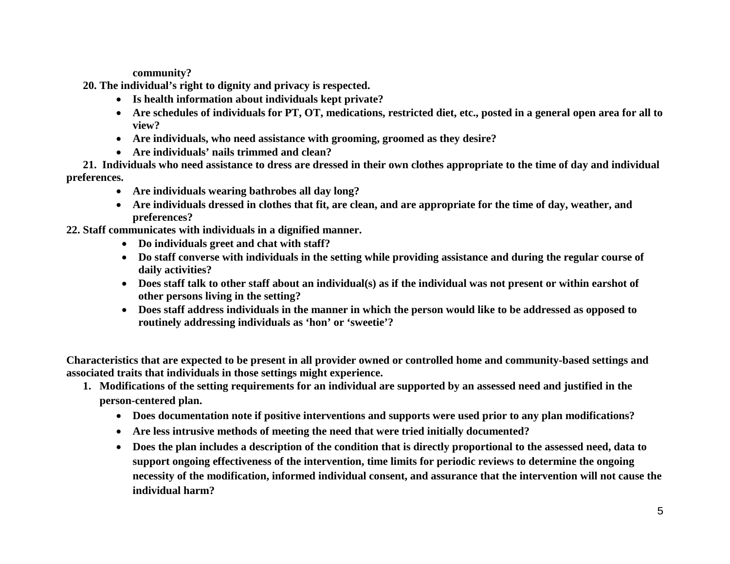**community?**

**20. The individual's right to dignity and privacy is respected.**

- **Is health information about individuals kept private?**
- **Are schedules of individuals for PT, OT, medications, restricted diet, etc., posted in a general open area for all to view?**
- **Are individuals, who need assistance with grooming, groomed as they desire?**
- **Are individuals' nails trimmed and clean?**

**21. Individuals who need assistance to dress are dressed in their own clothes appropriate to the time of day and individual preferences.**

- **Are individuals wearing bathrobes all day long?**
- **Are individuals dressed in clothes that fit, are clean, and are appropriate for the time of day, weather, and preferences?**

**22. Staff communicates with individuals in a dignified manner.**

- **Do individuals greet and chat with staff?**
- **Do staff converse with individuals in the setting while providing assistance and during the regular course of daily activities?**
- **Does staff talk to other staff about an individual(s) as if the individual was not present or within earshot of other persons living in the setting?**
- **Does staff address individuals in the manner in which the person would like to be addressed as opposed to routinely addressing individuals as 'hon' or 'sweetie'?**

**Characteristics that are expected to be present in all provider owned or controlled home and community-based settings and associated traits that individuals in those settings might experience.**

- **1. Modifications of the setting requirements for an individual are supported by an assessed need and justified in the person-centered plan.** 
	- **Does documentation note if positive interventions and supports were used prior to any plan modifications?**
	- **Are less intrusive methods of meeting the need that were tried initially documented?**
	- **Does the plan includes a description of the condition that is directly proportional to the assessed need, data to support ongoing effectiveness of the intervention, time limits for periodic reviews to determine the ongoing necessity of the modification, informed individual consent, and assurance that the intervention will not cause the individual harm?**